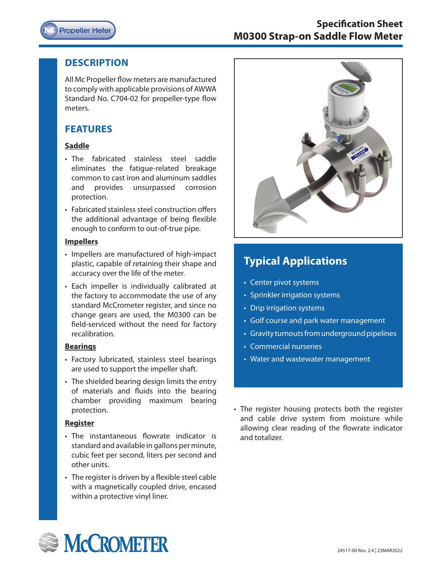

# **Specification Sheet M0300 Strap-on Saddle Flow Meter**

#### **DESCRIPTION**

All Mc Propeller flow meters are manufactured to comply with applicable provisions of AWWA Standard No. C704-02 for propeller-type flow meters.

# **FEATURES**

#### **Saddle**

- The fabricated stainless steel saddle eliminates the fatigue-related breakage common to cast iron and aluminum saddles and provides unsurpassed corrosion protection.
- Fabricated stainless steel construction offers the additional advantage of being flexible enough to conform to out-of-true pipe.

#### **Impellers**

- Impellers are manufactured of high-impact plastic, capable of retaining their shape and accuracy over the life of the meter.
- Each impeller is individually calibrated at the factory to accommodate the use of any standard McCrometer register, and since no change gears are used, the M0300 can be field-serviced without the need for factory recalibration.

#### **Bearings**

- Factory lubricated, stainless steel bearings are used to support the impeller shaft.
- The shielded bearing design limits the entry of materials and fluids into the bearing chamber providing maximum bearing protection.

#### **Register**

- The instantaneous flowrate indicator is standard and available in gallons per minute, cubic feet per second, liters per second and other units.
- The register is driven by a flexible steel cable with a magnetically coupled drive, encased within a protective vinyl liner.



# **Typical Applications**

- Center pivot systems
- Sprinkler irrigation systems
- Drip irrigation systems
- Golf course and park water management
- Gravity turnouts from underground pipelines
- Commercial nurseries
- Water and wastewater management

• The register housing protects both the register and cable drive system from moisture while allowing clear reading of the flowrate indicator and totalizer.

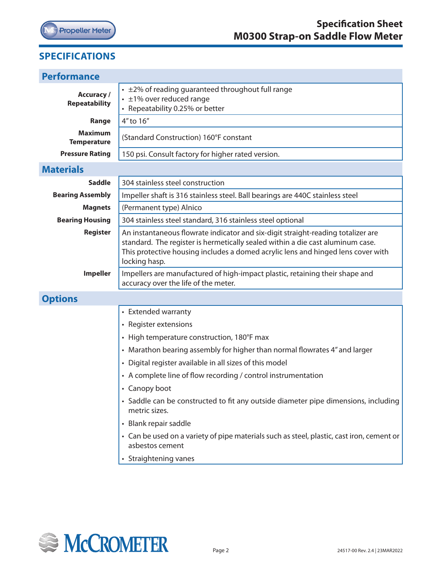

# **SPECIFICATIONS**

I

| <b>Performance</b>                        |                                                                                                                                                                                                                                                                         |  |  |  |  |  |
|-------------------------------------------|-------------------------------------------------------------------------------------------------------------------------------------------------------------------------------------------------------------------------------------------------------------------------|--|--|--|--|--|
| <b>Accuracy /</b><br><b>Repeatability</b> | • ±2% of reading guaranteed throughout full range<br>$\cdot$ ±1% over reduced range<br>• Repeatability 0.25% or better                                                                                                                                                  |  |  |  |  |  |
| Range                                     | 4" to 16"                                                                                                                                                                                                                                                               |  |  |  |  |  |
| <b>Maximum</b><br><b>Temperature</b>      | (Standard Construction) 160°F constant                                                                                                                                                                                                                                  |  |  |  |  |  |
| <b>Pressure Rating</b>                    | 150 psi. Consult factory for higher rated version.                                                                                                                                                                                                                      |  |  |  |  |  |
| <b>Materials</b>                          |                                                                                                                                                                                                                                                                         |  |  |  |  |  |
| <b>Saddle</b>                             | 304 stainless steel construction                                                                                                                                                                                                                                        |  |  |  |  |  |
| <b>Bearing Assembly</b>                   | Impeller shaft is 316 stainless steel. Ball bearings are 440C stainless steel                                                                                                                                                                                           |  |  |  |  |  |
| <b>Magnets</b>                            | (Permanent type) Alnico                                                                                                                                                                                                                                                 |  |  |  |  |  |
| <b>Bearing Housing</b>                    | 304 stainless steel standard, 316 stainless steel optional                                                                                                                                                                                                              |  |  |  |  |  |
| <b>Register</b>                           | An instantaneous flowrate indicator and six-digit straight-reading totalizer are<br>standard. The register is hermetically sealed within a die cast aluminum case.<br>This protective housing includes a domed acrylic lens and hinged lens cover with<br>locking hasp. |  |  |  |  |  |
| <b>Impeller</b>                           | Impellers are manufactured of high-impact plastic, retaining their shape and<br>accuracy over the life of the meter.                                                                                                                                                    |  |  |  |  |  |
| <b>Options</b>                            |                                                                                                                                                                                                                                                                         |  |  |  |  |  |
|                                           | • Extended warranty                                                                                                                                                                                                                                                     |  |  |  |  |  |
|                                           | • Register extensions                                                                                                                                                                                                                                                   |  |  |  |  |  |
|                                           | • High temperature construction, 180°F max                                                                                                                                                                                                                              |  |  |  |  |  |
|                                           | • Marathon bearing assembly for higher than normal flowrates 4" and larger                                                                                                                                                                                              |  |  |  |  |  |
|                                           | • Digital register available in all sizes of this model                                                                                                                                                                                                                 |  |  |  |  |  |
|                                           | • A complete line of flow recording / control instrumentation                                                                                                                                                                                                           |  |  |  |  |  |
|                                           | • Canopy boot                                                                                                                                                                                                                                                           |  |  |  |  |  |
|                                           | • Saddle can be constructed to fit any outside diameter pipe dimensions, including<br>metric sizes.                                                                                                                                                                     |  |  |  |  |  |
|                                           | • Blank repair saddle                                                                                                                                                                                                                                                   |  |  |  |  |  |
|                                           | • Can be used on a variety of pipe materials such as steel, plastic, cast iron, cement or<br>asbestos cement                                                                                                                                                            |  |  |  |  |  |
|                                           | • Straightening vanes                                                                                                                                                                                                                                                   |  |  |  |  |  |
|                                           |                                                                                                                                                                                                                                                                         |  |  |  |  |  |

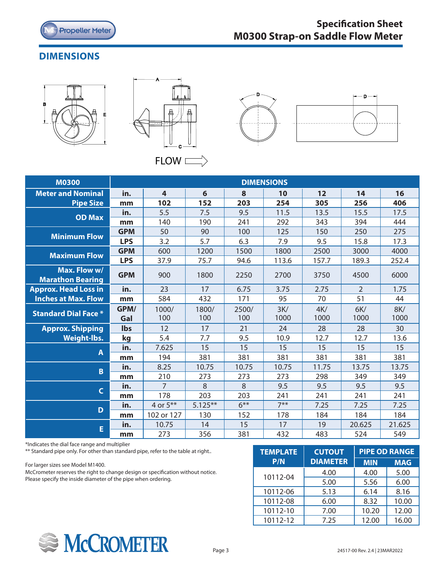

# **DIMENSIONS**







| <b>M0300</b>                            | <b>DIMENSIONS</b> |              |              |              |             |             |                |                    |
|-----------------------------------------|-------------------|--------------|--------------|--------------|-------------|-------------|----------------|--------------------|
| <b>Meter and Nominal</b>                | in.               | 4            | 6            | 8            | 10          | 12          | 14             | 16                 |
| <b>Pipe Size</b>                        | mm                | 102          | 152          | 203          | 254         | 305         | 256            | 406                |
| <b>OD Max</b>                           | in.               | 5.5          | 7.5          | 9.5          | 11.5        | 13.5        | 15.5           | 17.5               |
|                                         | mm                | 140          | 190          | 241          | 292         | 343         | 394            | 444                |
| <b>Minimum Flow</b>                     | <b>GPM</b>        | 50           | 90           | 100          | 125         | 150         | 250            | 275                |
|                                         | <b>LPS</b>        | 3.2          | 5.7          | 6.3          | 7.9         | 9.5         | 15.8           | 17.3               |
| <b>Maximum Flow</b>                     | <b>GPM</b>        | 600          | 1200         | 1500         | 1800        | 2500        | 3000           | 4000               |
|                                         | <b>LPS</b>        | 37.9         | 75.7         | 94.6         | 113.6       | 157.7       | 189.3          | 252.4              |
| Max. Flow w/<br><b>Marathon Bearing</b> | <b>GPM</b>        | 900          | 1800         | 2250         | 2700        | 3750        | 4500           | 6000               |
| <b>Approx. Head Loss in</b>             | in.               | 23           | 17           | 6.75         | 3.75        | 2.75        | $\overline{2}$ | 1.75               |
| <b>Inches at Max. Flow</b>              | mm                | 584          | 432          | 171          | 95          | 70          | 51             | 44                 |
| <b>Standard Dial Face *</b>             | GPM/<br>Gal       | 1000/<br>100 | 1800/<br>100 | 2500/<br>100 | 3K/<br>1000 | 4K/<br>1000 | 6K/<br>1000    | <b>8K/</b><br>1000 |
| <b>Approx. Shipping</b>                 | Ibs               | 12           | 17           | 21           | 24          | 28          | 28             | 30                 |
| <b>Weight-lbs.</b>                      | kg                | 5.4          | 7.7          | 9.5          | 10.9        | 12.7        | 12.7           | 13.6               |
| A                                       | in.               | 7.625        | 15           | 15           | 15          | 15          | 15             | 15                 |
|                                         | mm                | 194          | 381          | 381          | 381         | 381         | 381            | 381                |
| B                                       | in.               | 8.25         | 10.75        | 10.75        | 10.75       | 11.75       | 13.75          | 13.75              |
|                                         | mm                | 210          | 273          | 273          | 273         | 298         | 349            | 349                |
| $\mathsf{C}$                            | in.               | 7            | 8            | 8            | 9.5         | 9.5         | 9.5            | 9.5                |
|                                         | mm                | 178          | 203          | 203          | 241         | 241         | 241            | 241                |
| D                                       | in.               | 4 or $5***$  | $5.125***$   | $6***$       | $7***$      | 7.25        | 7.25           | 7.25               |
|                                         | mm                | 102 or 127   | 130          | 152          | 178         | 184         | 184            | 184                |
| E                                       | in.               | 10.75        | 14           | 15           | 17          | 19          | 20.625         | 21.625             |
|                                         | mm                | 273          | 356          | 381          | 432         | 483         | 524            | 549                |

\*Indicates the dial face range and multiplier

\*\* Standard pipe only. For other than standard pipe, refer to the table at right..

For larger sizes see Model M1400.

McCrometer reserves the right to change design or specification without notice. Please specify the inside diameter of the pipe when ordering.

| <b>TEMPLATE</b> | <b>CUTOUT</b>   | <b>PIPE OD RANGE</b> |            |  |
|-----------------|-----------------|----------------------|------------|--|
| P/N             | <b>DIAMETER</b> | <b>MIN</b>           | <b>MAG</b> |  |
| 10112-04        | 4.00            | 4.00                 | 5.00       |  |
|                 | 5.00            | 5.56                 | 6.00       |  |
| 10112-06        | 5.13            | 6.14                 | 8.16       |  |
| 10112-08        | 6.00            | 8.32                 | 10.00      |  |
| 10112-10        | 7.00            | 10.20                | 12.00      |  |
| 10112-12        | 7.25            | 12.00                | 16.00      |  |

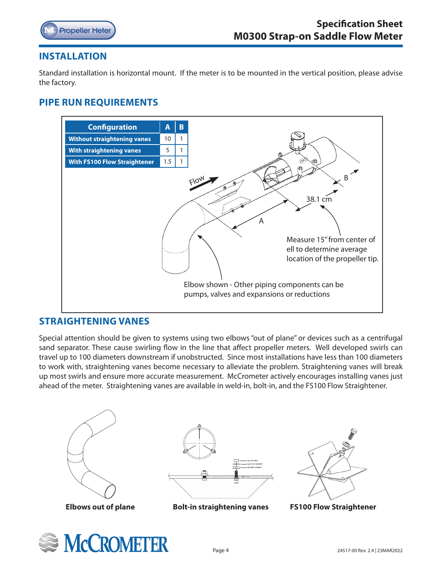

# **INSTALLATION**

Standard installation is horizontal mount. If the meter is to be mounted in the vertical position, please advise the factory.

# **PIPE RUN REQUIREMENTS**



# **STRAIGHTENING VANES**

Special attention should be given to systems using two elbows "out of plane" or devices such as a centrifugal sand separator. These cause swirling flow in the line that affect propeller meters. Well developed swirls can travel up to 100 diameters downstream if unobstructed. Since most installations have less than 100 diameters to work with, straightening vanes become necessary to alleviate the problem. Straightening vanes will break up most swirls and ensure more accurate measurement. McCrometer actively encourages installing vanes just ahead of the meter. Straightening vanes are available in weld-in, bolt-in, and the FS100 Flow Straightener.



 **Elbows out of plane**